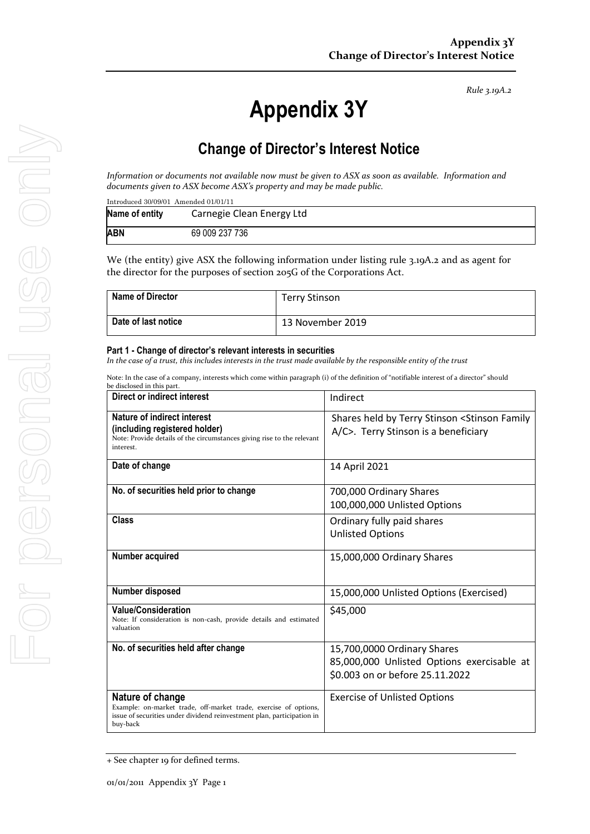*Rule 3.19A.2*

# **Appendix 3Y**

# **Change of Director's Interest Notice**

*Information or documents not available now must be given to ASX as soon as available. Information and documents given to ASX become ASX's property and may be made public.*

| Introduced 30/09/01 Amended 01/01/11 |                           |  |  |  |
|--------------------------------------|---------------------------|--|--|--|
| Name of entity                       | Carnegie Clean Energy Ltd |  |  |  |
| <b>ABN</b>                           | 69 009 237 736            |  |  |  |

We (the entity) give ASX the following information under listing rule 3.19A.2 and as agent for the director for the purposes of section 205G of the Corporations Act.

| <b>Name of Director</b> | Terry Stinson    |
|-------------------------|------------------|
| Date of last notice     | 13 November 2019 |

#### **Part 1 - Change of director's relevant interests in securities**

*In the case of a trust, this includes interests in the trust made available by the responsible entity of the trust*

Note: In the case of a company, interests which come within paragraph (i) of the definition of "notifiable interest of a director" should be disclosed in this part.

| ve uiscioseu in tins part<br>Direct or indirect interest                                                                                                                   | Indirect                                                                                                     |  |
|----------------------------------------------------------------------------------------------------------------------------------------------------------------------------|--------------------------------------------------------------------------------------------------------------|--|
| Nature of indirect interest<br>(including registered holder)<br>Note: Provide details of the circumstances giving rise to the relevant<br>interest.                        | Shares held by Terry Stinson < Stinson Family<br>A/C>. Terry Stinson is a beneficiary                        |  |
| Date of change                                                                                                                                                             | 14 April 2021                                                                                                |  |
| No. of securities held prior to change                                                                                                                                     | 700,000 Ordinary Shares<br>100,000,000 Unlisted Options                                                      |  |
| Class                                                                                                                                                                      | Ordinary fully paid shares<br><b>Unlisted Options</b>                                                        |  |
| Number acquired                                                                                                                                                            | 15,000,000 Ordinary Shares                                                                                   |  |
| Number disposed                                                                                                                                                            | 15,000,000 Unlisted Options (Exercised)                                                                      |  |
| <b>Value/Consideration</b><br>Note: If consideration is non-cash, provide details and estimated<br>valuation                                                               | \$45,000                                                                                                     |  |
| No. of securities held after change                                                                                                                                        | 15,700,0000 Ordinary Shares<br>85,000,000 Unlisted Options exercisable at<br>\$0.003 on or before 25.11.2022 |  |
| Nature of change<br>Example: on-market trade, off-market trade, exercise of options,<br>issue of securities under dividend reinvestment plan, participation in<br>buy-back | <b>Exercise of Unlisted Options</b>                                                                          |  |

<sup>+</sup> See chapter 19 for defined terms.